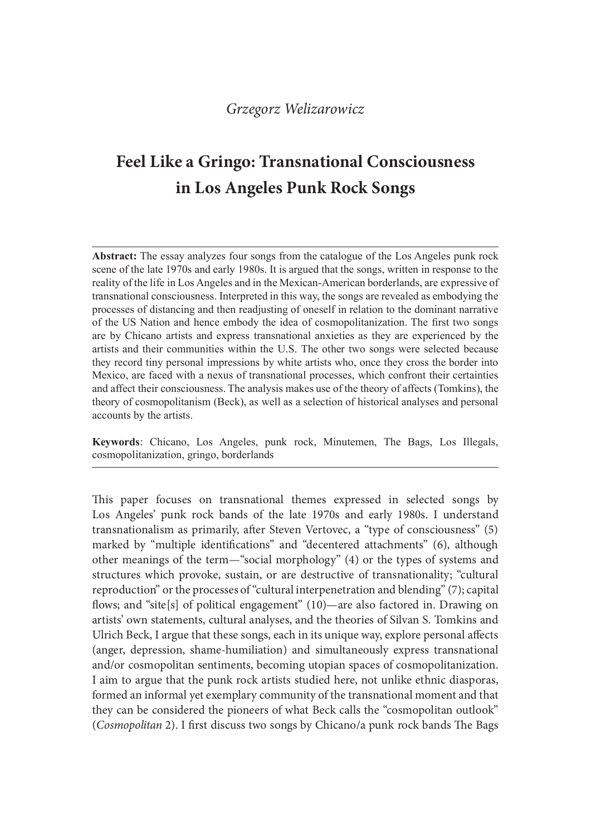# Feel Like a Gringo: Transnational Consciousness in Los Angeles Punk Rock Songs

Abstract: The essay analyzes four songs from the catalogue of the Los Angeles punk rock scene of the late 1970s and early 1980s. It is argued that the songs, written in response to the reality of the life in Los Angeles and in the Mexican-American borderlands, are expressive of transnational consciousness. Interpreted in this way, the songs are revealed as embodying the processes of distancing and then readiusting of oneself in relation to the dominant narrative of the US Nation and hence embody the idea of cosmopolitanization. The first two songs are by Chicano artists and express transnational anxieties as they are experienced by the Grzegorz Welizarowicz<br> **Feel Like a Gringo: Transnational Consciousness**<br> **in Los Angeles Punk Rock Songs**<br> **Abstract:** The essay analyzes four songs from the catalogue of the 10s Angeles punk rock<br>
seene of the late 1970s they record tiny personal impressions by white artists who, once they cross the border into Mexico, are faced with a nexus of transnational processes, which confront their certainties and affect their consciousness. The analysis makes use of the theory of affects (Tomkins), the theory of cosmopolitanism (Beck), as well as a selection of historical analyses and personal accounts by the artists.

Keywords: Chicano, Los Angeles, punk rock, Minutemen, The Bags, Los Illegals, cosmopolitanization, gringo, borderlands

This paper focuses on transnational themes expressed in selected songs by Los Angeles' punk rock bands of the late 1970s and early 1980s. I understand transnationalism as primarily, ater Steven Vertovec, a "type of consciousness" (5) marked by "multiple identifications" and "decentered attachments" (6), although other meanings of the term—"social morphology" (4) or the types of systems and structures which provoke, sustain, or are destructive of transnationality; "cultural reproduction" or the processes of "cultural interpenetration and blending" (7); capital flows; and "site[s] of political engagement"  $(10)$ —are also factored in. Drawing on artists' own statements, cultural analyses, and the theories of Silvan S. Tomkins and Ulrich Beck, I argue that these songs, each in its unique way, explore personal affects (anger, depression, shame-humiliation) and simultaneously express transnational and/or cosmopolitan sentiments, becoming utopian spaces of cosmopolitanization. I aim to argue that the punk rock artists studied here, not unlike ethnic diasporas, formed an informal yet exemplary community of the transnational moment and that they can be considered the pioneers of what Beck calls the "cosmopolitan outlook" (Cosmopolitan 2). I first discuss two songs by Chicano/a punk rock bands The Bags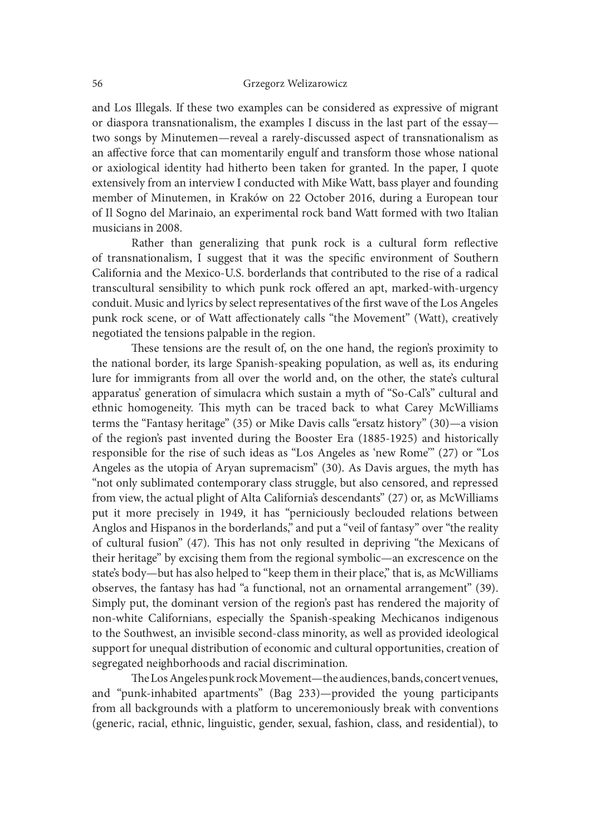and Los Illegals. If these two examples can be considered as expressive of migrant or diaspora transnationalism, the examples I discuss in the last part of the essay two songs by Minutemen—reveal a rarely-discussed aspect of transnationalism as an affective force that can momentarily engulf and transform those whose national or axiological identity had hitherto been taken for granted. In the paper, I quote extensively from an interview I conducted with Mike Watt, bass player and founding member of Minutemen, in Kraków on 22 October 2016, during a European tour of Il Sogno del Marinaio, an experimental rock band Watt formed with two Italian musicians in 2008.

Rather than generalizing that punk rock is a cultural form reflective of transnationalism, I suggest that it was the specific environment of Southern California and the Mexico-U.S. borderlands that contributed to the rise of a radical transcultural sensibility to which punk rock offered an apt, marked-with-urgency conduit. Music and lyrics by select representatives of the first wave of the Los Angeles punk rock scene, or of Watt affectionately calls "the Movement" (Watt), creatively negotiated the tensions palpable in the region.

These tensions are the result of, on the one hand, the region's proximity to the national border, its large Spanish-speaking population, as well as, its enduring lure for immigrants from all over the world and, on the other, the state's cultural apparatus' generation of simulacra which sustain a myth of "So-Cal's" cultural and ethnic homogeneity. This myth can be traced back to what Carey McWilliams terms the "Fantasy heritage" (35) or Mike Davis calls "ersatz history" (30)—a vision of the region's past invented during the Booster Era (1885-1925) and historically responsible for the rise of such ideas as "Los Angeles as 'new Rome'" (27) or "Los Angeles as the utopia of Aryan supremacism" (30). As Davis argues, the myth has "not only sublimated contemporary class struggle, but also censored, and repressed from view, the actual plight of Alta California's descendants" (27) or, as McWilliams put it more precisely in 1949, it has "perniciously beclouded relations between Anglos and Hispanos in the borderlands," and put a "veil of fantasy" over "the reality of cultural fusion" (47). This has not only resulted in depriving "the Mexicans of their heritage" by excising them from the regional symbolic—an excrescence on the state's body—but has also helped to "keep them in their place," that is, as McWilliams observes, the fantasy has had "a functional, not an ornamental arrangement" (39). Simply put, the dominant version of the region's past has rendered the majority of non-white Californians, especially the Spanish-speaking Mechicanos indigenous to the Southwest, an invisible second-class minority, as well as provided ideological support for unequal distribution of economic and cultural opportunities, creation of segregated neighborhoods and racial discrimination.

The Los Angeles punk rock Movement—the audiences, bands, concert venues, and "punk-inhabited apartments" (Bag 233)—provided the young participants from all backgrounds with a platform to unceremoniously break with conventions (generic, racial, ethnic, linguistic, gender, sexual, fashion, class, and residential), to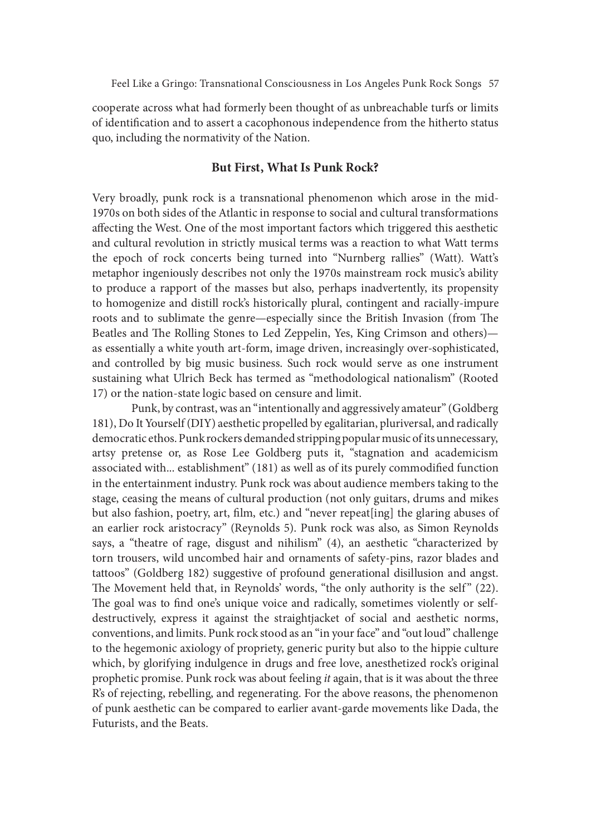cooperate across what had formerly been thought of as unbreachable turfs or limits of identification and to assert a cacophonous independence from the hitherto status quo, including the normativity of the Nation.

## But First, What Is Punk Rock?

Very broadly, punk rock is a transnational phenomenon which arose in the mid-1970s on both sides of the Atlantic in response to social and cultural transformations affecting the West. One of the most important factors which triggered this aesthetic and cultural revolution in strictly musical terms was a reaction to what Watt terms the epoch of rock concerts being turned into "Nurnberg rallies" (Watt). Watt's metaphor ingeniously describes not only the 1970s mainstream rock music's ability to produce a rapport of the masses but also, perhaps inadvertently, its propensity to homogenize and distill rock's historically plural, contingent and racially-impure roots and to sublimate the genre—especially since the British Invasion (from The Beatles and The Rolling Stones to Led Zeppelin, Yes, King Crimson and others) as essentially a white youth art-form, image driven, increasingly over-sophisticated, and controlled by big music business. Such rock would serve as one instrument sustaining what Ulrich Beck has termed as "methodological nationalism" (Rooted 17) or the nation-state logic based on censure and limit.

Punk, by contrast, was an "intentionally and aggressively amateur" (Goldberg 181), Do It Yourself (DIY) aesthetic propelled by egalitarian, pluriversal, and radically democratic ethos. Punk rockers demanded stripping popular music of its unnecessary, artsy pretense or, as Rose Lee Goldberg puts it, "stagnation and academicism associated with... establishment" (181) as well as of its purely commodified function in the entertainment industry. Punk rock was about audience members taking to the stage, ceasing the means of cultural production (not only guitars, drums and mikes but also fashion, poetry, art, film, etc.) and "never repeat[ing] the glaring abuses of an earlier rock aristocracy" (Reynolds 5). Punk rock was also, as Simon Reynolds says, a "theatre of rage, disgust and nihilism" (4), an aesthetic "characterized by torn trousers, wild uncombed hair and ornaments of safety-pins, razor blades and tattoos" (Goldberg 182) suggestive of profound generational disillusion and angst. in the entertainment industry. Punk rock was about audience members taking to the stage, ceasing the means of cultural production (not only guitars, drums and mikes but also fashion, poetry, art, film, etc.) and "never rep The goal was to find one's unique voice and radically, sometimes violently or selfdestructively, express it against the straightjacket of social and aesthetic norms, conventions, and limits. Punk rock stood as an "in your face" and "out loud" challenge to the hegemonic axiology of propriety, generic purity but also to the hippie culture which, by glorifying indulgence in drugs and free love, anesthetized rock's original prophetic promise. Punk rock was about feeling it again, that is it was about the three R's of rejecting, rebelling, and regenerating. For the above reasons, the phenomenon of punk aesthetic can be compared to earlier avant-garde movements like Dada, the Futurists, and the Beats.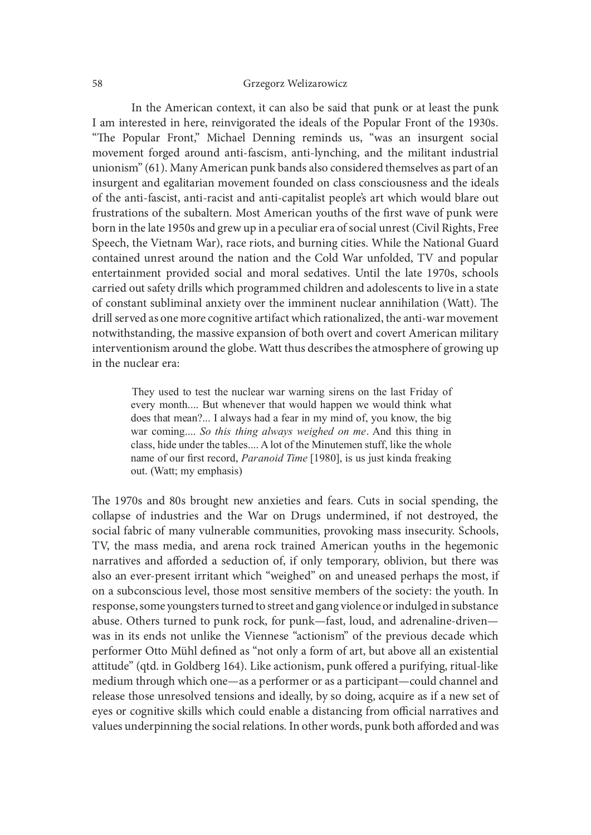In the American context, it can also be said that punk or at least the punk I am interested in here, reinvigorated the ideals of the Popular Front of the 1930s.<br>"The Popular Front," Michael Denning reminds us, "was an insurgent social movement forged around anti-fascism, anti-lynching, and the militant industrial unionism" (61). Many American punk bands also considered themselves as part of an insurgent and egalitarian movement founded on class consciousness and the ideals of the anti-fascist, anti-racist and anti-capitalist people's art which would blare out frustrations of the subaltern. Most American youths of the first wave of punk were born in the late 1950s and grew up in a peculiar era of social unrest (Civil Rights, Free Speech, the Vietnam War), race riots, and burning cities. While the National Guard contained unrest around the nation and the Cold War unfolded, TV and popular entertainment provided social and moral sedatives. Until the late 1970s, schools carried out safety drills which programmed children and adolescents to live in a state of constant subliminal anxiety over the imminent nuclear annihilation (Watt). The drill served as one more cognitive artifact which rationalized, the anti-war movement notwithstanding, the massive expansion of both overt and covert American military interventionism around the globe. Watt thus describes the atmosphere of growing up in the nuclear era: rnt forged around anti-fascism, anti-lynching, and the militant industrial<br>n"(61). Many American punk bands also considered themselves as part of an<br>it and egalitarian movement founded on class considerates and the ideals<br> N are quantimic more than to mean to make the and the chemical of the first wave of punk were ons of the subaltern. Most American youths of the first wave of punk were ons of the subaltern. Most American youths of the fir

every month.... But whenever that would happen we would think what does that mean?... I always had a fear in my mind of, you know, the big class, hide under the tables.... A lot of the Minutemen stuff, like the whole name of our first record, Paranoid Time [1980], is us just kinda freaking out. (Watt; my emphasis)

The 1970s and 80s brought new anxieties and fears. Cuts in social spending, the collapse of industries and the War on Drugs undermined, if not destroyed, the social fabric of many vulnerable communities, provoking mass insecurity. Schools, TV, the mass media, and arena rock trained American youths in the hegemonic narratives and afforded a seduction of, if only temporary, oblivion, but there was also an ever-present irritant which "weighed" on and uneased perhaps the most, if on a subconscious level, those most sensitive members of the society: the youth. In response, some youngsters turned to street and gang violence or indulged in substance abuse. Others turned to punk rock, for punk—fast, loud, and adrenaline-driven was in its ends not unlike the Viennese "actionism" of the previous decade which performer Otto Mühl defined as "not only a form of art, but above all an existential attitude" (qtd. in Goldberg 164). Like actionism, punk offered a purifying, ritual-like medium through which one—as a performer or as a participant—could channel and release those unresolved tensions and ideally, by so doing, acquire as if a new set of eyes or cognitive skills which could enable a distancing from official narratives and values underpinning the social relations. In other words, punk both afforded and was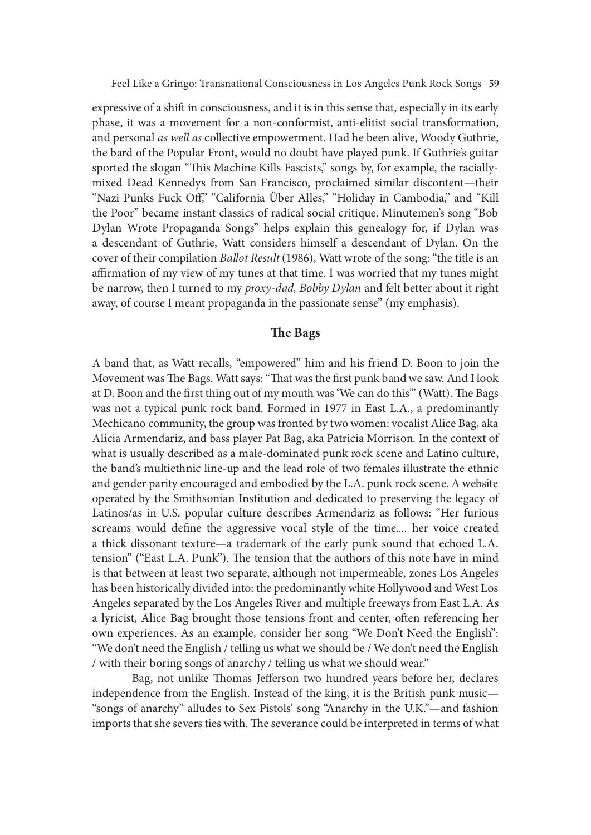expressive of a shift in consciousness, and it is in this sense that, especially in its early phase, it was a movement for a non-conformist, anti-elitist social transformation, and personal as well as collective empowerment. Had he been alive, Woody Guthrie, the bard of the Popular Front, would no doubt have played punk. If Guthrie's guitar sported the slogan "This Machine Kills Fascists," songs by, for example, the raciallymixed Dead Kennedys from San Francisco, proclaimed similar discontent—their "Nazi Punks Fuck Off," "California Über Alles," "Holiday in Cambodia," and "Kill the Poor" became instant classics of radical social critique. Minutemen's song "Bob Dylan Wrote Propaganda Songs" helps explain this genealogy for, if Dylan was a descendant of Guthrie, Watt considers himself a descendant of Dylan. On the cover of their compilation Ballot Result (1986), Watt wrote of the song: "the title is an affirmation of my view of my tunes at that time. I was worried that my tunes might be narrow, then I turned to my *proxy-dad*, Bobby Dylan and felt better about it right away, of course I meant propaganda in the passionate sense" (my emphasis).

# The Bags

A band that, as Watt recalls, "empowered" him and his friend D. Boon to join the Movement was The Bags. Watt says: "That was the first punk band we saw. And I look at D. Boon and the first thing out of my mouth was 'We can do this'" (Watt). The Bags was not a typical punk rock band. Formed in 1977 in East L.A., a predominantly Mechicano community, the group was fronted by two women: vocalist Alice Bag, aka Alicia Armendariz, and bass player Pat Bag, aka Patricia Morrison. In the context of what is usually described as a male-dominated punk rock scene and Latino culture, the band's multiethnic line-up and the lead role of two females illustrate the ethnic and gender parity encouraged and embodied by the L.A. punk rock scene. A website operated by the Smithsonian Institution and dedicated to preserving the legacy of Latinos/as in U.S. popular culture describes Armendariz as follows: "Her furious screams would define the aggressive vocal style of the time.... her voice created a thick dissonant texture—a trademark of the early punk sound that echoed L.A. tension" ("East L.A. Punk"). The tension that the authors of this note have in mind is that between at least two separate, although not impermeable, zones Los Angeles has been historically divided into: the predominantly white Hollywood and West Los Angeles separated by the Los Angeles River and multiple freeways from East L.A. As a lyricist, Alice Bag brought those tensions front and center, oten referencing her own experiences. As an example, consider her song "We Don't Need the English": "We don't need the English / telling us what we should be / We don't need the English / with their boring songs of anarchy / telling us what we should wear."

Bag, not unlike Thomas Jefferson two hundred years before her, declares independence from the English. Instead of the king, it is the British punk music— "songs of anarchy" alludes to Sex Pistols' song "Anarchy in the U.K."—and fashion imports that she severs ties with. The severance could be interpreted in terms of what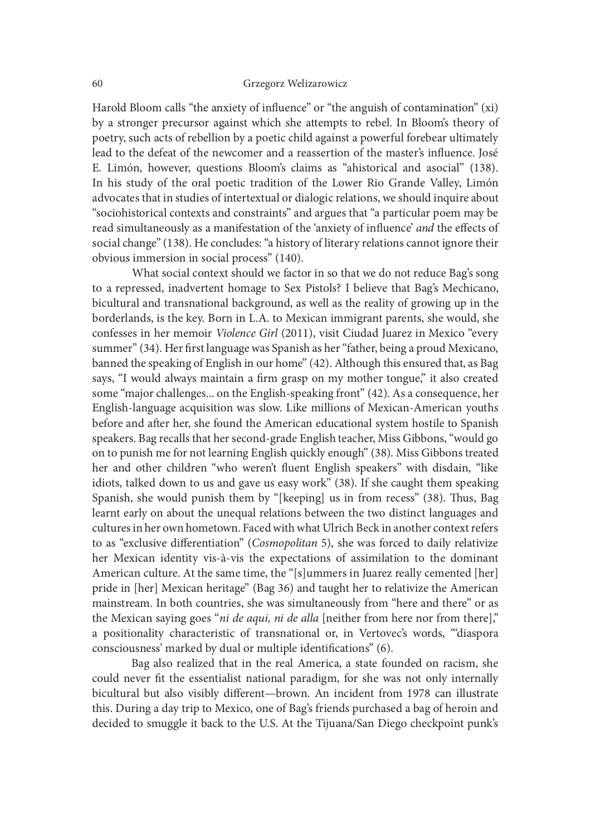Harold Bloom calls "the anxiety of influence" or "the anguish of contamination" (xi) by a stronger precursor against which she attempts to rebel. In Bloom's theory of poetry, such acts of rebellion by a poetic child against a powerful forebear ultimately lead to the defeat of the newcomer and a reassertion of the master's influence. José E. Limón, however, questions Bloom's claims as "ahistorical and asocial" (138). In his study of the oral poetic tradition of the Lower Rio Grande Valley, Limón advocates that in studies of intertextual or dialogic relations, we should inquire about "sociohistorical contexts and constraints" and argues that "a particular poem may be read simultaneously as a manifestation of the 'anxiety of influence' and the effects of social change" (138). He concludes: "a history of literary relations cannot ignore their obvious immersion in social process" (140).

 What social context should we factor in so that we do not reduce Bag's song to a repressed, inadvertent homage to Sex Pistols? I believe that Bag's Mechicano, bicultural and transnational background, as well as the reality of growing up in the borderlands, is the key. Born in L.A. to Mexican immigrant parents, she would, she confesses in her memoir Violence Girl (2011), visit Ciudad Juarez in Mexico "every summer" (34). Her first language was Spanish as her "father, being a proud Mexicano, banned the speaking of English in our home" (42). Although this ensured that, as Bag says, "I would always maintain a firm grasp on my mother tongue," it also created some "major challenges... on the English-speaking front" (42). As a consequence, her English-language acquisition was slow. Like millions of Mexican-American youths before and ater her, she found the American educational system hostile to Spanish speakers. Bag recalls that her second-grade English teacher, Miss Gibbons, "would go on to punish me for not learning English quickly enough" (38). Miss Gibbons treated her and other children "who weren't {uent English speakers" with disdain, "like idiots, talked down to us and gave us easy work" (38). If she caught them speaking Spanish, she would punish them by "[keeping] us in from recess" (38). Thus, Bag learnt early on about the unequal relations between the two distinct languages and cultures in her own hometown. Faced with what Ulrich Beck in another context refers to as "exclusive differentiation" (Cosmopolitan 5), she was forced to daily relativize her Mexican identity vis-à-vis the expectations of assimilation to the dominant American culture. At the same time, the "[s]ummers in Juarez really cemented [her] pride in [her] Mexican heritage" (Bag 36) and taught her to relativize the American mainstream. In both countries, she was simultaneously from "here and there" or as the Mexican saying goes "ni de aqui, ni de alla [neither from here nor from there]," a positionality characteristic of transnational or, in Vertovec's words, "'diaspora consciousness' marked by dual or multiple identifications" (6).

Bag also realized that in the real America, a state founded on racism, she could never fit the essentialist national paradigm, for she was not only internally bicultural but also visibly different—brown. An incident from 1978 can illustrate this. During a day trip to Mexico, one of Bag's friends purchased a bag of heroin and decided to smuggle it back to the U.S. At the Tijuana/San Diego checkpoint punk's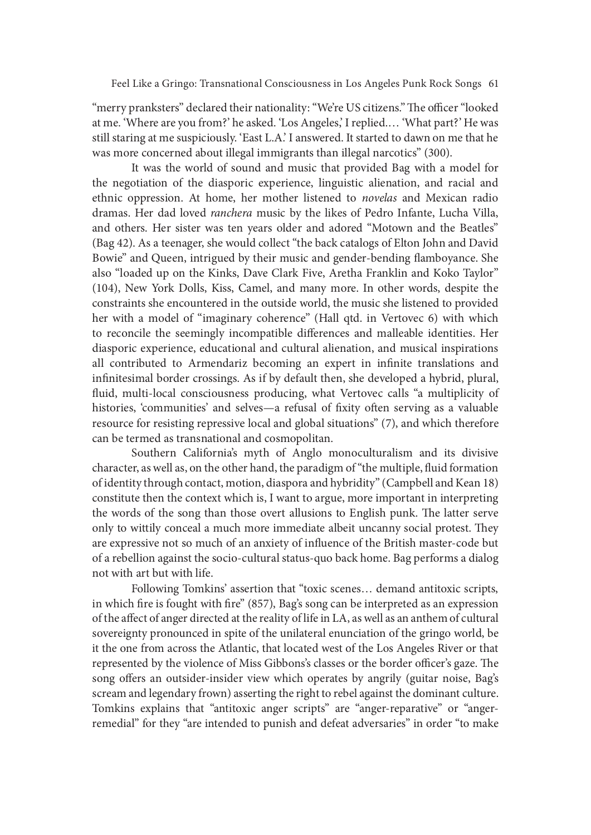"merry pranksters" declared their nationality: "We're US citizens." The officer "looked at me. 'Where are you from?' he asked. 'Los Angeles,' I replied.… 'What part?' He was still staring at me suspiciously. 'East L.A.' I answered. It started to dawn on me that he was more concerned about illegal immigrants than illegal narcotics" (300).

It was the world of sound and music that provided Bag with a model for the negotiation of the diasporic experience, linguistic alienation, and racial and ethnic oppression. At home, her mother listened to novelas and Mexican radio dramas. Her dad loved ranchera music by the likes of Pedro Infante, Lucha Villa, and others. Her sister was ten years older and adored "Motown and the Beatles" (Bag 42). As a teenager, she would collect "the back catalogs of Elton John and David Bowie" and Queen, intrigued by their music and gender-bending flamboyance. She also "loaded up on the Kinks, Dave Clark Five, Aretha Franklin and Koko Taylor" (104), New York Dolls, Kiss, Camel, and many more. In other words, despite the constraints she encountered in the outside world, the music she listened to provided her with a model of "imaginary coherence" (Hall qtd. in Vertovec 6) with which to reconcile the seemingly incompatible differences and malleable identities. Her diasporic experience, educational and cultural alienation, and musical inspirations all contributed to Armendariz becoming an expert in infinite translations and infinitesimal border crossings. As if by default then, she developed a hybrid, plural, fluid, multi-local consciousness producing, what Vertovec calls "a multiplicity of histories, 'communities' and selves—a refusal of fixity often serving as a valuable resource for resisting repressive local and global situations" (7), and which therefore can be termed as transnational and cosmopolitan.

Southern California's myth of Anglo monoculturalism and its divisive character, as well as, on the other hand, the paradigm of "the multiple, {uid formation of identity through contact, motion, diaspora and hybridity" (Campbell and Kean 18) constitute then the context which is, I want to argue, more important in interpreting the words of the song than those overt allusions to English punk. The latter serve only to wittily conceal a much more immediate albeit uncanny social protest. They are expressive not so much of an anxiety of influence of the British master-code but of a rebellion against the socio-cultural status-quo back home. Bag performs a dialog not with art but with life.

Following Tomkins' assertion that "toxic scenes… demand antitoxic scripts, in which fire is fought with fire"  $(857)$ , Bag's song can be interpreted as an expression of the affect of anger directed at the reality of life in LA, as well as an anthem of cultural sovereignty pronounced in spite of the unilateral enunciation of the gringo world, be it the one from across the Atlantic, that located west of the Los Angeles River or that represented by the violence of Miss Gibbons's classes or the border officer's gaze. The song offers an outsider-insider view which operates by angrily (guitar noise, Bag's scream and legendary frown) asserting the right to rebel against the dominant culture. Tomkins explains that "antitoxic anger scripts" are "anger-reparative" or "angerremedial" for they "are intended to punish and defeat adversaries" in order "to make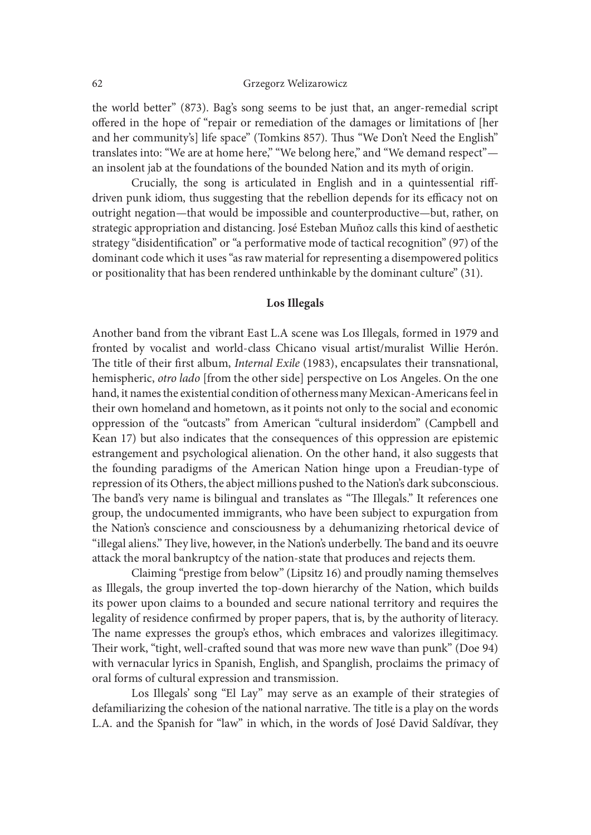the world better" (873). Bag's song seems to be just that, an anger-remedial script offered in the hope of "repair or remediation of the damages or limitations of [her and her community's] life space" (Tomkins 857). Thus "We Don't Need the English" translates into: "We are at home here," "We belong here," and "We demand respect" an insolent jab at the foundations of the bounded Nation and its myth of origin.

Crucially, the song is articulated in English and in a quintessential riffdriven punk idiom, thus suggesting that the rebellion depends for its efficacy not on outright negation—that would be impossible and counterproductive—but, rather, on strategic appropriation and distancing. José Esteban Muñoz calls this kind of aesthetic strategy "disidentification" or "a performative mode of tactical recognition" (97) of the dominant code which it uses "as raw material for representing a disempowered politics or positionality that has been rendered unthinkable by the dominant culture" (31).

#### Los Illegals

Another band from the vibrant East L.A scene was Los Illegals, formed in 1979 and fronted by vocalist and world-class Chicano visual artist/muralist Willie Herón. The title of their first album, *Internal Exile* (1983), encapsulates their transnational, hemispheric, *otro lado* [from the other side] perspective on Los Angeles. On the one hand, it names the existential condition of otherness many Mexican-Americans feel in their own homeland and hometown, as it points not only to the social and economic oppression of the "outcasts" from American "cultural insiderdom" (Campbell and Kean 17) but also indicates that the consequences of this oppression are epistemic estrangement and psychological alienation. On the other hand, it also suggests that the founding paradigms of the American Nation hinge upon a Freudian-type of repression of its Others, the abject millions pushed to the Nation's dark subconscious. The band's very name is bilingual and translates as "The Illegals." It references one group, the undocumented immigrants, who have been subject to expurgation from the Nation's conscience and consciousness by a dehumanizing rhetorical device of "illegal aliens." They live, however, in the Nation's underbelly. The band and its oeuvre attack the moral bankruptcy of the nation-state that produces and rejects them.

Claiming "prestige from below" (Lipsitz 16) and proudly naming themselves as Illegals, the group inverted the top-down hierarchy of the Nation, which builds its power upon claims to a bounded and secure national territory and requires the legality of residence confirmed by proper papers, that is, by the authority of literacy. The name expresses the group's ethos, which embraces and valorizes illegitimacy. Their work, "tight, well-crafted sound that was more new wave than punk" (Doe 94) with vernacular lyrics in Spanish, English, and Spanglish, proclaims the primacy of oral forms of cultural expression and transmission.

Los Illegals' song "El Lay" may serve as an example of their strategies of defamiliarizing the cohesion of the national narrative. The title is a play on the words L.A. and the Spanish for "law" in which, in the words of José David Saldívar, they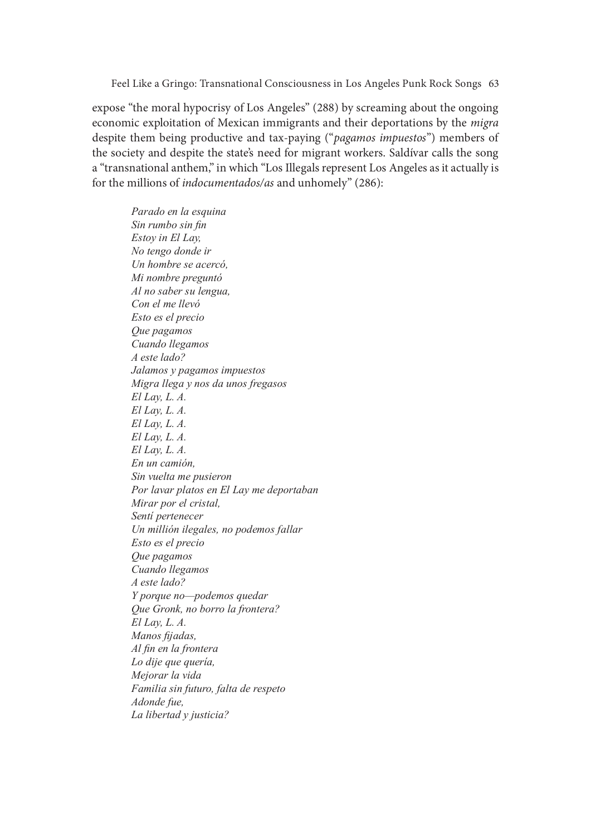expose "the moral hypocrisy of Los Angeles" (288) by screaming about the ongoing economic exploitation of Mexican immigrants and their deportations by the migra despite them being productive and tax-paying ("*pagamos impuestos*") members of the society and despite the state's need for migrant workers. Saldívar calls the song a "transnational anthem," in which "Los Illegals represent Los Angeles as it actually is for the millions of indocumentados/as and unhomely" (286):

Parado en la esquina Sin rumbo sin fin  $Estov$  in  $El$  Lav. No tengo donde ir Un hombre se acercó, Mi nombre preguntó Al no saber su lengua, Con el me llevó Esto es el precio Que pagamos Cuando llegamos  $\overline{A}$  este lado? Jalamos y pagamos impuestos Migra llega y nos da unos fregasos  $El$  Lav, L. A.  $El$  Lay, L. A.  $El$  Lay, L. A.  $El Lay, L. A.$  $El$  Lay, L. A. En un camión. Sin vuelta me pusieron Por lavar platos en El Lay me deportaban Mirar por el cristal, Senti pertenecer Un millión ilegales, no podemos fallar Esto es el precio Oue pagamos Cuando llegamos  $\frac{1}{4}$  este lado? Y porque no-podemos quedar Que Gronk, no borro la frontera?  $El Lay, L. A.$ Manos fijadas, Al fin en la frontera Lo dije que quería, Mejorar la vida Familia sin futuro, falta de respeto Adonde fue, La libertad y justicia?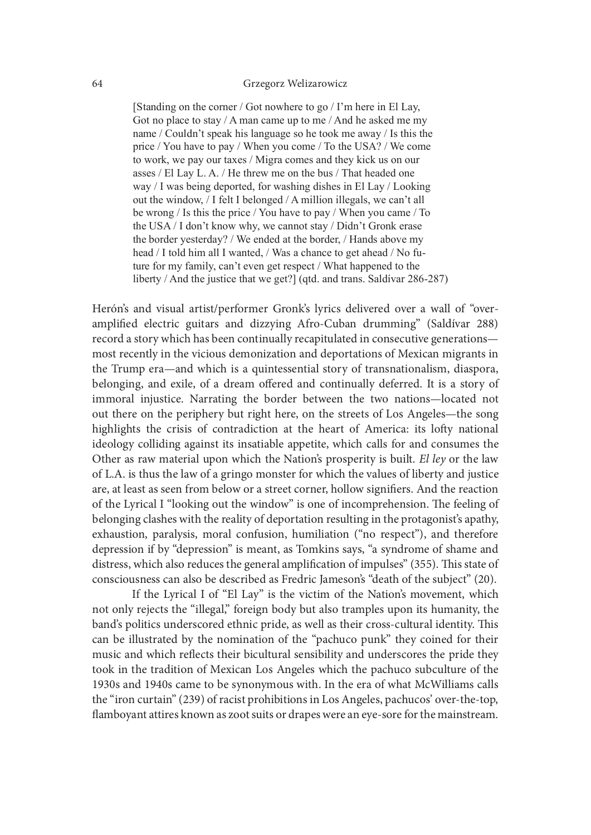[Standing on the corner / Got nowhere to go / I'm here in El Lay, Got no place to stay / A man came up to me / And he asked me my name / Couldn't speak his language so he took me away / Is this the price / You have to pay / When you come / To the USA? / We come to work, we pay our taxes / Migra comes and they kick us on our asses / El Lay L. A. / He threw me on the bus / That headed one way  $\ell$  I was being deported, for washing dishes in El Lay  $\ell$  Looking out the window,  $\sqrt{I}$  felt I belonged  $\sqrt{A}$  million illegals, we can't all be wrong / Is this the price / You have to pay / When you came / To the USA / I don't know why, we cannot stay / Didn't Gronk erase the border vesterday? / We ended at the border,  $/$  Hands above my head / I told him all I wanted, / Was a chance to get ahead / No future for my family, can't even get respect / What happened to the liberty / And the justice that we get?] (qtd. and trans. Saldívar 286-287)

Herón's and visual artist/performer Gronk's lyrics delivered over a wall of "overamplified electric guitars and dizzying Afro-Cuban drumming" (Saldívar 288) record a story which has been continually recapitulated in consecutive generations most recently in the vicious demonization and deportations of Mexican migrants in the Trump era—and which is a quintessential story of transnationalism, diaspora, belonging, and exile, of a dream offered and continually deferred. It is a story of immoral injustice. Narrating the border between the two nations—located not out there on the periphery but right here, on the streets of Los Angeles—the song highlights the crisis of contradiction at the heart of America: its loty national ideology colliding against its insatiable appetite, which calls for and consumes the Other as raw material upon which the Nation's prosperity is built. El ley or the law of L.A. is thus the law of a gringo monster for which the values of liberty and justice are, at least as seen from below or a street corner, hollow signifiers. And the reaction of the Lyrical I "looking out the window" is one of incomprehension. The feeling of belonging clashes with the reality of deportation resulting in the protagonist's apathy, exhaustion, paralysis, moral confusion, humiliation ("no respect"), and therefore depression if by "depression" is meant, as Tomkins says, "a syndrome of shame and distress, which also reduces the general amplification of impulses" (355). This state of consciousness can also be described as Fredric Jameson's "death of the subject" (20).

 If the Lyrical I of "El Lay" is the victim of the Nation's movement, which not only rejects the "illegal," foreign body but also tramples upon its humanity, the band's politics underscored ethnic pride, as well as their cross-cultural identity. This can be illustrated by the nomination of the "pachuco punk" they coined for their music and which reflects their bicultural sensibility and underscores the pride they took in the tradition of Mexican Los Angeles which the pachuco subculture of the 1930s and 1940s came to be synonymous with. In the era of what McWilliams calls the "iron curtain" (239) of racist prohibitions in Los Angeles, pachucos' over-the-top, flamboyant attires known as zoot suits or drapes were an eye-sore for the mainstream.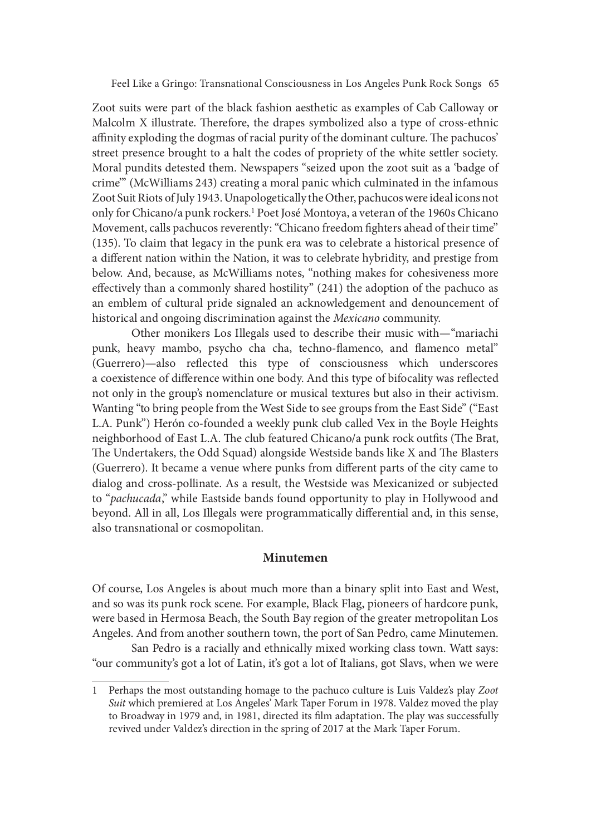Zoot suits were part of the black fashion aesthetic as examples of Cab Calloway or Malcolm X illustrate. Therefore, the drapes symbolized also a type of cross-ethnic affinity exploding the dogmas of racial purity of the dominant culture. The pachucos' street presence brought to a halt the codes of propriety of the white settler society. Moral pundits detested them. Newspapers "seized upon the zoot suit as a 'badge of crime'" (McWilliams 243) creating a moral panic which culminated in the infamous Zoot Suit Riots of July 1943. Unapologetically the Other, pachucos were ideal icons not only for Chicano/a punk rockers.1 Poet José Montoya, a veteran of the 1960s Chicano Movement, calls pachucos reverently: "Chicano freedom fighters ahead of their time" (135). To claim that legacy in the punk era was to celebrate a historical presence of a different nation within the Nation, it was to celebrate hybridity, and prestige from below. And, because, as McWilliams notes, "nothing makes for cohesiveness more effectively than a commonly shared hostility"  $(241)$  the adoption of the pachuco as an emblem of cultural pride signaled an acknowledgement and denouncement of historical and ongoing discrimination against the Mexicano community.

Other monikers Los Illegals used to describe their music with—"mariachi punk, heavy mambo, psycho cha cha, techno-flamenco, and flamenco metal" (Guerrero)—also re{ected this type of consciousness which underscores a coexistence of difference within one body. And this type of bifocality was reflected not only in the group's nomenclature or musical textures but also in their activism. Wanting "to bring people from the West Side to see groups from the East Side" ("East L.A. Punk") Herón co-founded a weekly punk club called Vex in the Boyle Heights neighborhood of East L.A. The club featured Chicano/a punk rock outfits (The Brat, The Undertakers, the Odd Squad) alongside Westside bands like X and The Blasters (Guerrero). It became a venue where punks from different parts of the city came to dialog and cross-pollinate. As a result, the Westside was Mexicanized or subjected to "pachucada," while Eastside bands found opportunity to play in Hollywood and beyond. All in all, Los Illegals were programmatically differential and, in this sense, also transnational or cosmopolitan.

## Minutemen

Of course, Los Angeles is about much more than a binary split into East and West, and so was its punk rock scene. For example, Black Flag, pioneers of hardcore punk, were based in Hermosa Beach, the South Bay region of the greater metropolitan Los Angeles. And from another southern town, the port of San Pedro, came Minutemen.

San Pedro is a racially and ethnically mixed working class town. Watt says: "our community's got a lot of Latin, it's got a lot of Italians, got Slavs, when we were

<sup>1</sup> Perhaps the most outstanding homage to the pachuco culture is Luis Valdez's play Zoot Suit which premiered at Los Angeles' Mark Taper Forum in 1978. Valdez moved the play to Broadway in 1979 and, in 1981, directed its film adaptation. The play was successfully revived under Valdez's direction in the spring of 2017 at the Mark Taper Forum.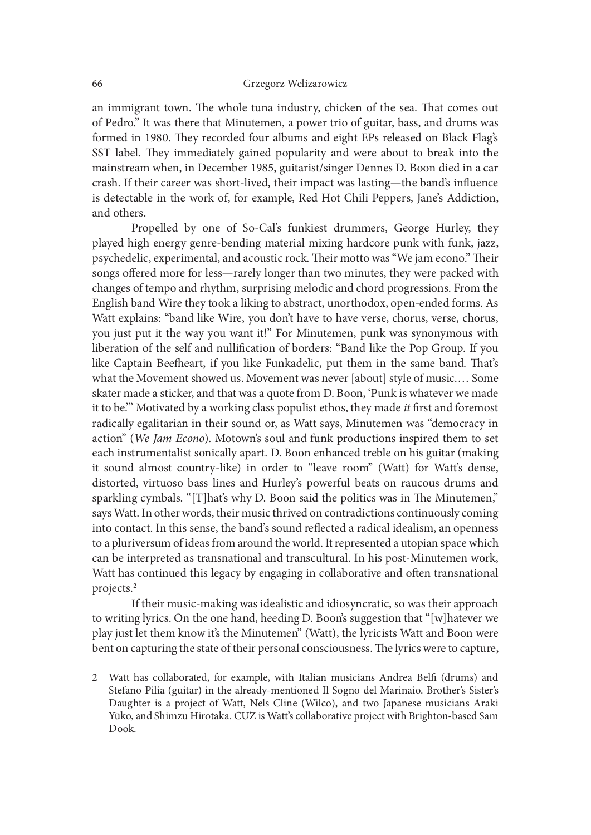an immigrant town. The whole tuna industry, chicken of the sea. That comes out of Pedro." It was there that Minutemen, a power trio of guitar, bass, and drums was formed in 1980. They recorded four albums and eight EPs released on Black Flag's SST label. They immediately gained popularity and were about to break into the mainstream when, in December 1985, guitarist/singer Dennes D. Boon died in a car crash. If their career was short-lived, their impact was lasting—the band's in{uence is detectable in the work of, for example, Red Hot Chili Peppers, Jane's Addiction, and others.

Propelled by one of So-Cal's funkiest drummers, George Hurley, they played high energy genre-bending material mixing hardcore punk with funk, jazz, psychedelic, experimental, and acoustic rock. Their motto was "We jam econo." Their songs offered more for less—rarely longer than two minutes, they were packed with changes of tempo and rhythm, surprising melodic and chord progressions. From the English band Wire they took a liking to abstract, unorthodox, open-ended forms. As Watt explains: "band like Wire, you don't have to have verse, chorus, verse, chorus, you just put it the way you want it!" For Minutemen, punk was synonymous with liberation of the self and nullification of borders: "Band like the Pop Group. If you like Captain Beefheart, if you like Funkadelic, put them in the same band. That's what the Movement showed us. Movement was never [about] style of music.… Some skater made a sticker, and that was a quote from D. Boon, 'Punk is whatever we made it to be." Motivated by a working class populist ethos, they made *it* first and foremost radically egalitarian in their sound or, as Watt says, Minutemen was "democracy in action" (We Jam Econo). Motown's soul and funk productions inspired them to set each instrumentalist sonically apart. D. Boon enhanced treble on his guitar (making it sound almost country-like) in order to "leave room" (Watt) for Watt's dense, distorted, virtuoso bass lines and Hurley's powerful beats on raucous drums and sparkling cymbals. "[T]hat's why D. Boon said the politics was in The Minutemen," says Watt. In other words, their music thrived on contradictions continuously coming into contact. In this sense, the band's sound reflected a radical idealism, an openness to a pluriversum of ideas from around the world. It represented a utopian space which can be interpreted as transnational and transcultural. In his post-Minutemen work, Watt has continued this legacy by engaging in collaborative and oten transnational projects.2

If their music-making was idealistic and idiosyncratic, so was their approach to writing lyrics. On the one hand, heeding D. Boon's suggestion that "[w]hatever we play just let them know it's the Minutemen" (Watt), the lyricists Watt and Boon were bent on capturing the state of their personal consciousness. The lyrics were to capture,

<sup>2</sup> Watt has collaborated, for example, with Italian musicians Andrea Belfi (drums) and Stefano Pilia (guitar) in the already-mentioned Il Sogno del Marinaio. Brother's Sister's Daughter is a project of Watt, Nels Cline (Wilco), and two Japanese musicians Araki Yūko, and Shimzu Hirotaka. CUZ is Watt's collaborative project with Brighton-based Sam Dook.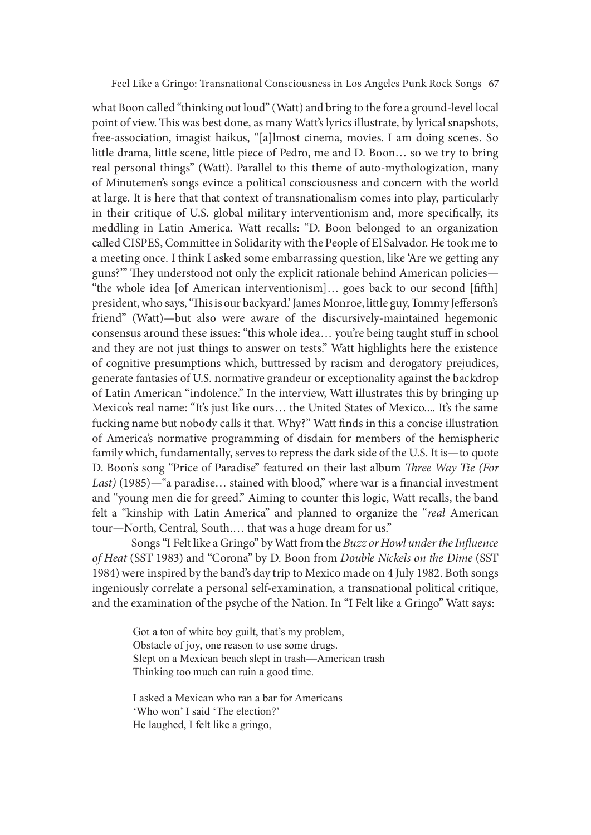what Boon called "thinking out loud" (Watt) and bring to the fore a ground-level local point of view. This was best done, as many Watt's lyrics illustrate, by lyrical snapshots, free-association, imagist haikus, "[a]lmost cinema, movies. I am doing scenes. So little drama, little scene, little piece of Pedro, me and D. Boon… so we try to bring real personal things" (Watt). Parallel to this theme of auto-mythologization, many of Minutemen's songs evince a political consciousness and concern with the world at large. It is here that that context of transnationalism comes into play, particularly in their critique of U.S. global military interventionism and, more specifically, its meddling in Latin America. Watt recalls: "D. Boon belonged to an organization called CISPES, Committee in Solidarity with the People of El Salvador. He took me to a meeting once. I think I asked some embarrassing question, like 'Are we getting any guns?" They understood not only the explicit rationale behind American policies— "the whole idea [of American interventionism]... goes back to our second [fifth] president, who says, 'This is our backyard.' James Monroe, little guy, Tommy Jefferson's friend" (Watt)—but also were aware of the discursively-maintained hegemonic consensus around these issues: "this whole idea... you're being taught stuff in school and they are not just things to answer on tests." Watt highlights here the existence of cognitive presumptions which, buttressed by racism and derogatory prejudices, generate fantasies of U.S. normative grandeur or exceptionality against the backdrop of Latin American "indolence." In the interview, Watt illustrates this by bringing up Mexico's real name: "It's just like ours… the United States of Mexico.... It's the same fucking name but nobody calls it that. Why?" Watt finds in this a concise illustration of America's normative programming of disdain for members of the hemispheric family which, fundamentally, serves to repress the dark side of the U.S. It is—to quote D. Boon's song "Price of Paradise" featured on their last album Three Way Tie (For Last)  $(1985)$ —"a paradise... stained with blood," where war is a financial investment and "young men die for greed." Aiming to counter this logic, Watt recalls, the band felt a "kinship with Latin America" and planned to organize the "real American tour—North, Central, South.… that was a huge dream for us."

Songs "I Felt like a Gringo" by Watt from the Buzz or Howl under the Influence of Heat (SST 1983) and "Corona" by D. Boon from Double Nickels on the Dime (SST 1984) were inspired by the band's day trip to Mexico made on 4 July 1982. Both songs ingeniously correlate a personal self-examination, a transnational political critique, and the examination of the psyche of the Nation. In "I Felt like a Gringo" Watt says:

Got a ton of white boy guilt, that's my problem, Obstacle of joy, one reason to use some drugs. Slept on a Mexican beach slept in trash—American trash Thinking too much can ruin a good time.

I asked a Mexican who ran a bar for Americans 'Who won' I said 'The election?' He laughed, I felt like a gringo,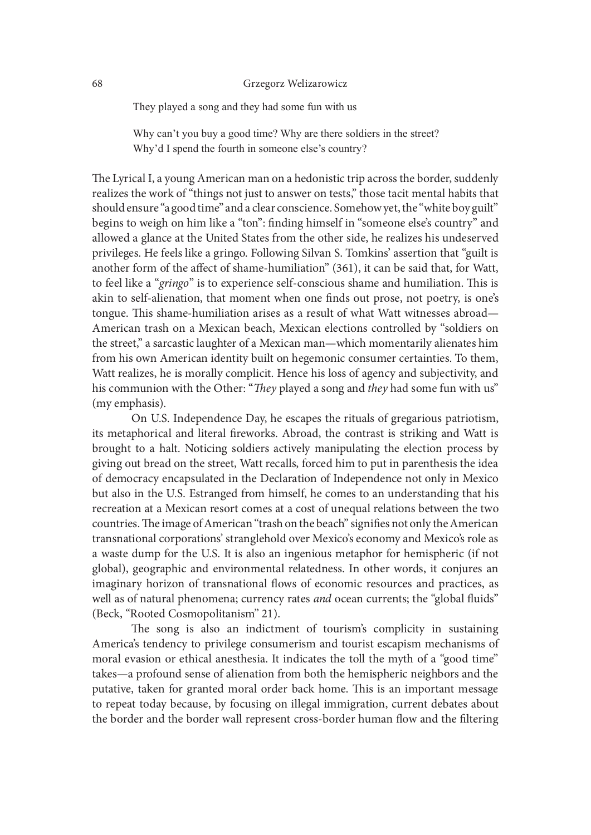They played a song and they had some fun with us

Why can't you buy a good time? Why are there soldiers in the street? Why'd I spend the fourth in someone else's country?

The Lyrical I, a young American man on a hedonistic trip across the border, suddenly realizes the work of "things not just to answer on tests," those tacit mental habits that should ensure "a good time" and a clear conscience. Somehow yet, the "white boy guilt" begins to weigh on him like a "ton": finding himself in "someone else's country" and allowed a glance at the United States from the other side, he realizes his undeserved privileges. He feels like a gringo. Following Silvan S. Tomkins' assertion that "guilt is another form of the affect of shame-humiliation" (361), it can be said that, for Watt, to feel like a "gringo" is to experience self-conscious shame and humiliation. This is akin to self-alienation, that moment when one finds out prose, not poetry, is one's tongue. This shame-humiliation arises as a result of what Watt witnesses abroad— American trash on a Mexican beach, Mexican elections controlled by "soldiers on the street," a sarcastic laughter of a Mexican man—which momentarily alienates him from his own American identity built on hegemonic consumer certainties. To them, Watt realizes, he is morally complicit. Hence his loss of agency and subjectivity, and his communion with the Other: "They played a song and they had some fun with us" (my emphasis).

On U.S. Independence Day, he escapes the rituals of gregarious patriotism, its metaphorical and literal fireworks. Abroad, the contrast is striking and Watt is brought to a halt. Noticing soldiers actively manipulating the election process by giving out bread on the street, Watt recalls, forced him to put in parenthesis the idea of democracy encapsulated in the Declaration of Independence not only in Mexico but also in the U.S. Estranged from himself, he comes to an understanding that his recreation at a Mexican resort comes at a cost of unequal relations between the two countries. The image of American "trash on the beach" signifies not only the American transnational corporations' stranglehold over Mexico's economy and Mexico's role as a waste dump for the U.S. It is also an ingenious metaphor for hemispheric (if not global), geographic and environmental relatedness. In other words, it conjures an imaginary horizon of transnational flows of economic resources and practices, as well as of natural phenomena; currency rates and ocean currents; the "global fluids" (Beck, "Rooted Cosmopolitanism" 21).

The song is also an indictment of tourism's complicity in sustaining America's tendency to privilege consumerism and tourist escapism mechanisms of moral evasion or ethical anesthesia. It indicates the toll the myth of a "good time" takes—a profound sense of alienation from both the hemispheric neighbors and the putative, taken for granted moral order back home. This is an important message to repeat today because, by focusing on illegal immigration, current debates about the border and the border wall represent cross-border human flow and the filtering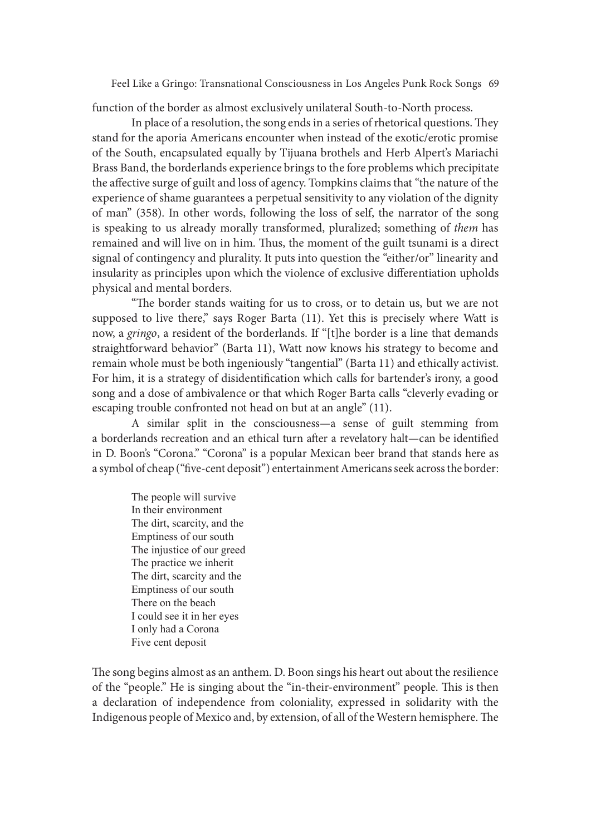function of the border as almost exclusively unilateral South-to-North process.

In place of a resolution, the song ends in a series of rhetorical questions. They stand for the aporia Americans encounter when instead of the exotic/erotic promise of the South, encapsulated equally by Tijuana brothels and Herb Alpert's Mariachi Brass Band, the borderlands experience brings to the fore problems which precipitate the affective surge of guilt and loss of agency. Tompkins claims that "the nature of the experience of shame guarantees a perpetual sensitivity to any violation of the dignity of man" (358). In other words, following the loss of self, the narrator of the song is speaking to us already morally transformed, pluralized; something of them has remained and will live on in him. Thus, the moment of the guilt tsunami is a direct signal of contingency and plurality. It puts into question the "either/or" linearity and insularity as principles upon which the violence of exclusive differentiation upholds physical and mental borders.<br>"The border stands waiting for us to cross, or to detain us, but we are not

supposed to live there," says Roger Barta (11). Yet this is precisely where Watt is now, a gringo, a resident of the borderlands. If "[t]he border is a line that demands straightforward behavior" (Barta 11), Watt now knows his strategy to become and remain whole must be both ingeniously "tangential" (Barta 11) and ethically activist. For him, it is a strategy of disidentification which calls for bartender's irony, a good song and a dose of ambivalence or that which Roger Barta calls "cleverly evading or escaping trouble confronted not head on but at an angle" (11).

A similar split in the consciousness—a sense of guilt stemming from a borderlands recreation and an ethical turn after a revelatory halt—can be identified in D. Boon's "Corona." "Corona" is a popular Mexican beer brand that stands here as a symbol of cheap ("five-cent deposit") entertainment Americans seek across the border:

The people will survive In their environment The dirt, scarcity, and the Emptiness of our south The injustice of our greed The practice we inherit The dirt, scarcity and the Emptiness of our south There on the beach I could see it in her eyes I only had a Corona Five cent deposit

The song begins almost as an anthem. D. Boon sings his heart out about the resilience of the "people." He is singing about the "in-their-environment" people. This is then a declaration of independence from coloniality, expressed in solidarity with the Indigenous people of Mexico and, by extension, of all of the Western hemisphere. The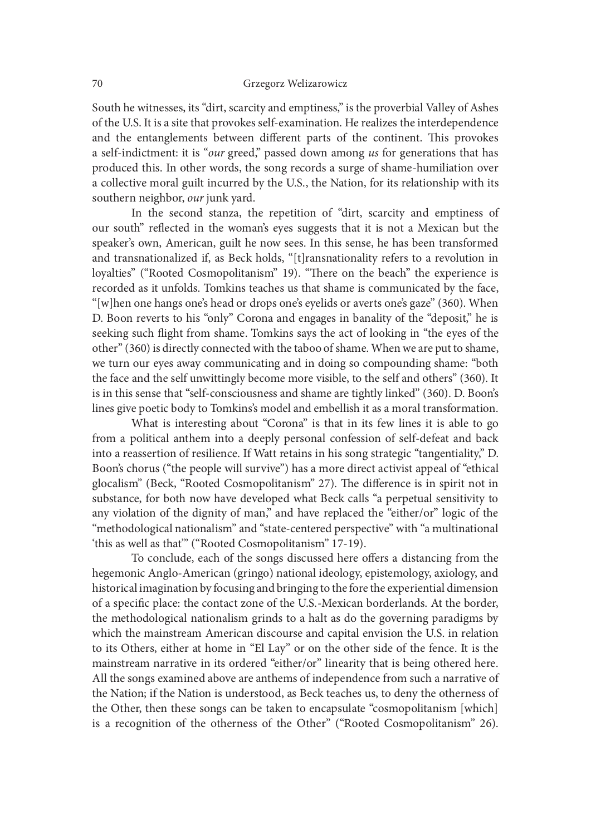South he witnesses, its "dirt, scarcity and emptiness," is the proverbial Valley of Ashes of the U.S. It is a site that provokes self-examination. He realizes the interdependence and the entanglements between different parts of the continent. This provokes a self-indictment: it is "our greed," passed down among us for generations that has produced this. In other words, the song records a surge of shame-humiliation over a collective moral guilt incurred by the U.S., the Nation, for its relationship with its southern neighbor, our junk yard.

In the second stanza, the repetition of "dirt, scarcity and emptiness of our south" reflected in the woman's eyes suggests that it is not a Mexican but the speaker's own, American, guilt he now sees. In this sense, he has been transformed and transnationalized if, as Beck holds, "[t]ransnationality refers to a revolution in loyalties" ("Rooted Cosmopolitanism" 19). "There on the beach" the experience is recorded as it unfolds. Tomkins teaches us that shame is communicated by the face, "[w]hen one hangs one's head or drops one's eyelids or averts one's gaze" (360). When D. Boon reverts to his "only" Corona and engages in banality of the "deposit," he is seeking such flight from shame. Tomkins says the act of looking in "the eyes of the other" (360) is directly connected with the taboo of shame. When we are put to shame, we turn our eyes away communicating and in doing so compounding shame: "both the face and the self unwittingly become more visible, to the self and others" (360). It is in this sense that "self-consciousness and shame are tightly linked" (360). D. Boon's lines give poetic body to Tomkins's model and embellish it as a moral transformation.

What is interesting about "Corona" is that in its few lines it is able to go from a political anthem into a deeply personal confession of self-defeat and back into a reassertion of resilience. If Watt retains in his song strategic "tangentiality," D. Boon's chorus ("the people will survive") has a more direct activist appeal of "ethical glocalism" (Beck, "Rooted Cosmopolitanism" 27). The difference is in spirit not in substance, for both now have developed what Beck calls "a perpetual sensitivity to any violation of the dignity of man," and have replaced the "either/or" logic of the "methodological nationalism" and "state-centered perspective" with "a multinational 'this as well as that'" ("Rooted Cosmopolitanism" 17-19).

To conclude, each of the songs discussed here offers a distancing from the hegemonic Anglo-American (gringo) national ideology, epistemology, axiology, and historical imagination by focusing and bringing to the fore the experiential dimension of a specific place: the contact zone of the U.S.-Mexican borderlands. At the border, the methodological nationalism grinds to a halt as do the governing paradigms by which the mainstream American discourse and capital envision the U.S. in relation to its Others, either at home in "El Lay" or on the other side of the fence. It is the mainstream narrative in its ordered "either/or" linearity that is being othered here. All the songs examined above are anthems of independence from such a narrative of the Nation; if the Nation is understood, as Beck teaches us, to deny the otherness of the Other, then these songs can be taken to encapsulate "cosmopolitanism [which] is a recognition of the otherness of the Other" ("Rooted Cosmopolitanism" 26).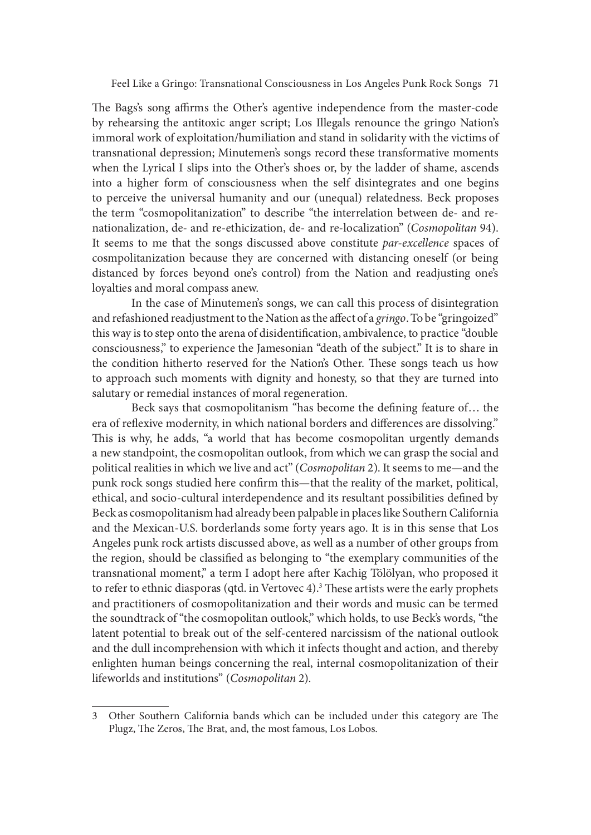The Bags's song affirms the Other's agentive independence from the master-code by rehearsing the antitoxic anger script; Los Illegals renounce the gringo Nation's immoral work of exploitation/humiliation and stand in solidarity with the victims of transnational depression; Minutemen's songs record these transformative moments when the Lyrical I slips into the Other's shoes or, by the ladder of shame, ascends into a higher form of consciousness when the self disintegrates and one begins to perceive the universal humanity and our (unequal) relatedness. Beck proposes the term "cosmopolitanization" to describe "the interrelation between de- and renationalization, de- and re-ethicization, de- and re-localization" (Cosmopolitan 94). It seems to me that the songs discussed above constitute par-excellence spaces of cosmpolitanization because they are concerned with distancing oneself (or being distanced by forces beyond one's control) from the Nation and readjusting one's loyalties and moral compass anew.

In the case of Minutemen's songs, we can call this process of disintegration and refashioned readjustment to the Nation as the affect of a gringo. To be "gringoized" this way is to step onto the arena of disidentification, ambivalence, to practice "double consciousness," to experience the Jamesonian "death of the subject." It is to share in the condition hitherto reserved for the Nation's Other. These songs teach us how to approach such moments with dignity and honesty, so that they are turned into salutary or remedial instances of moral regeneration.

Beck says that cosmopolitanism "has become the defining feature of... the era of reflexive modernity, in which national borders and differences are dissolving." This is why, he adds, "a world that has become cosmopolitan urgently demands a new standpoint, the cosmopolitan outlook, from which we can grasp the social and political realities in which we live and act" (Cosmopolitan 2). It seems to me—and the punk rock songs studied here confirm this—that the reality of the market, political, ethical, and socio-cultural interdependence and its resultant possibilities defined by Beck as cosmopolitanism had already been palpable in places like Southern California and the Mexican-U.S. borderlands some forty years ago. It is in this sense that Los Angeles punk rock artists discussed above, as well as a number of other groups from the region, should be classified as belonging to "the exemplary communities of the transnational moment," a term I adopt here ater Kachig Tölölyan, who proposed it to refer to ethnic diasporas (qtd. in Vertovec 4).<sup>3</sup> These artists were the early prophets and practitioners of cosmopolitanization and their words and music can be termed the soundtrack of "the cosmopolitan outlook," which holds, to use Beck's words, "the latent potential to break out of the self-centered narcissism of the national outlook and the dull incomprehension with which it infects thought and action, and thereby enlighten human beings concerning the real, internal cosmopolitanization of their lifeworlds and institutions" (Cosmopolitan 2).

<sup>3</sup> Other Southern California bands which can be included under this category are The Plugz, The Zeros, The Brat, and, the most famous, Los Lobos.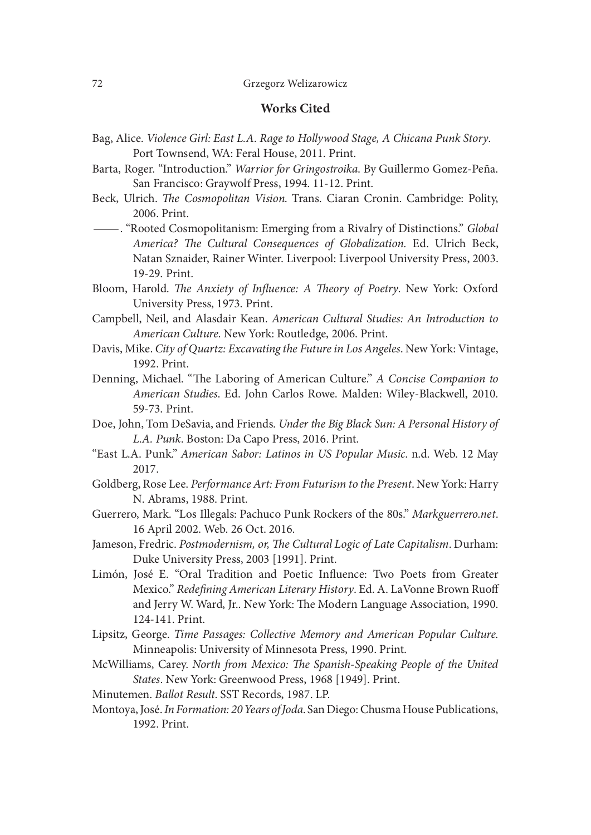# Works Cited

- Bag, Alice. Violence Girl: East L.A. Rage to Hollywood Stage, A Chicana Punk Story. Port Townsend, WA: Feral House, 2011. Print.
- Barta, Roger. "Introduction." Warrior for Gringostroika. By Guillermo Gomez-Peña. San Francisco: Graywolf Press, 1994. 11-12. Print.
- Beck, Ulrich. The Cosmopolitan Vision. Trans. Ciaran Cronin. Cambridge: Polity, 2006. Print. —. "Rooted Cosmopolitanism: Emerging from a Rivalry of Distinctions." Global
- America? The Cultural Consequences of Globalization. Ed. Ulrich Beck, Natan Sznaider, Rainer Winter. Liverpool: Liverpool University Press, 2003. 19-29. Print.

Bloom, Harold. The Anxiety of Influence: A Theory of Poetry. New York: Oxford University Press, 1973. Print.

- Campbell, Neil, and Alasdair Kean. American Cultural Studies: An Introduction to American Culture. New York: Routledge, 2006. Print.
- Davis, Mike. City of Quartz: Excavating the Future in Los Angeles. New York: Vintage, 1992. Print.
- Denning, Michael. "The Laboring of American Culture." A Concise Companion to American Studies. Ed. John Carlos Rowe. Malden: Wiley-Blackwell, 2010. 59-73. Print.

Doe, John, Tom DeSavia, and Friends. Under the Big Black Sun: A Personal History of L.A. Punk. Boston: Da Capo Press, 2016. Print.

- "East L.A. Punk." American Sabor: Latinos in US Popular Music. n.d. Web. 12 May 2017.
- Goldberg, Rose Lee. Performance Art: From Futurism to the Present. New York: Harry N. Abrams, 1988. Print.
- Guerrero, Mark. "Los Illegals: Pachuco Punk Rockers of the 80s." Markguerrero.net. 16 April 2002. Web. 26 Oct. 2016.
- Jameson, Fredric. Postmodernism, or, The Cultural Logic of Late Capitalism. Durham: Duke University Press, 2003 [1991]. Print.
- Limón, José E. "Oral Tradition and Poetic Influence: Two Poets from Greater Mexico." Redefining American Literary History. Ed. A. LaVonne Brown Ruoff and Jerry W. Ward, Jr.. New York: The Modern Language Association, 1990. 124-141. Print.
- Lipsitz, George. Time Passages: Collective Memory and American Popular Culture. Minneapolis: University of Minnesota Press, 1990. Print.
- McWilliams, Carey. North from Mexico: The Spanish-Speaking People of the United States. New York: Greenwood Press, 1968 [1949]. Print.
- Minutemen. Ballot Result. SST Records, 1987. LP.
- Montoya, José. In Formation: 20 Years of Joda. San Diego: Chusma House Publications, 1992. Print.